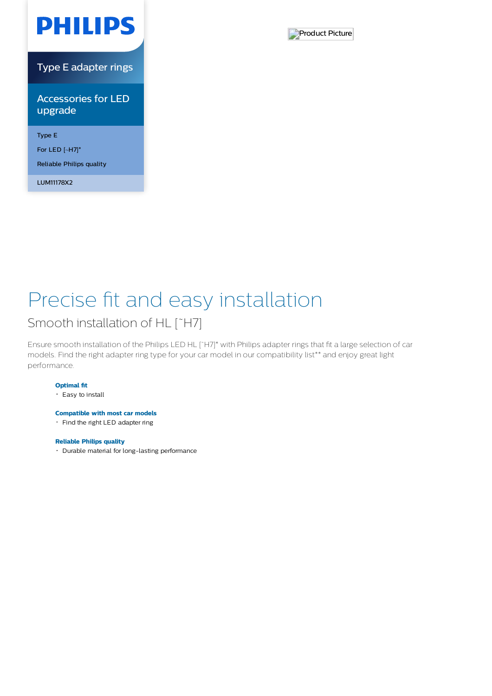

Type E adapter rings

Accessories for LED upgrade

Type E

For LED [~H7]\*

Reliable Philips quality

LUM11178X2



# Precise fit and easy installation

### Smooth installation of HL [~H7]

Ensure smooth installation of the Philips LED HL [˜H7]\* with Philips adapter rings that fit a large selection of car models. Find the right adapter ring type for your car model in our compatibility list\*\* and enjoy great light performance.

### **Optimal fit**

Easy to install

### **Compatible with most car models**

• Find the right LED adapter ring

### **Reliable Philips quality**

Durable material for long-lasting performance